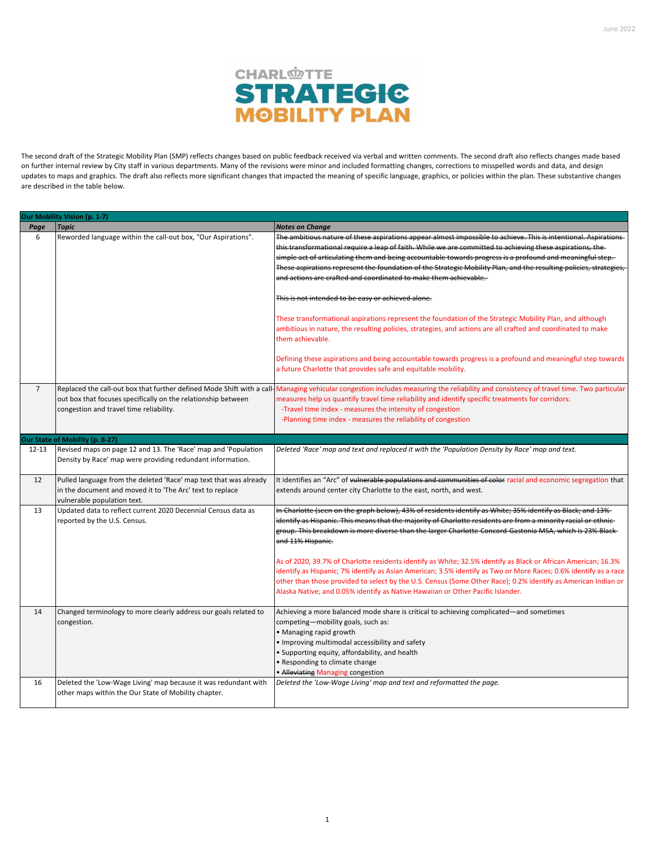

The second draft of the Strategic Mobility Plan (SMP) reflects changes based on public feedback received via verbal and written comments. The second draft also reflects changes made based on further internal review by City staff in various departments. Many of the revisions were minor and included formatting changes, corrections to misspelled words and data, and design updates to maps and graphics. The draft also reflects more significant changes that impacted the meaning of specific language, graphics, or policies within the plan. These substantive changes are described in the table below.

|                | Our Mobility Vision (p. 1-7)                                                                                                   |                                                                                                                                                                                       |  |  |
|----------------|--------------------------------------------------------------------------------------------------------------------------------|---------------------------------------------------------------------------------------------------------------------------------------------------------------------------------------|--|--|
| Page           | <b>Topic</b>                                                                                                                   | <b>Notes on Change</b>                                                                                                                                                                |  |  |
| 6              | Reworded language within the call-out box, "Our Aspirations".                                                                  | The ambitious nature of these aspirations appear almost impossible to achieve. This is intentional. Aspirations                                                                       |  |  |
|                |                                                                                                                                | this transformational require a leap of faith. While we are committed to achieving these aspirations, the                                                                             |  |  |
|                |                                                                                                                                | simple act of articulating them and being accountable towards progress is a profound and meaningful step.                                                                             |  |  |
|                |                                                                                                                                | These aspirations represent the foundation of the Strategic Mobility Plan, and the resulting policies, strategies,                                                                    |  |  |
|                |                                                                                                                                | and actions are crafted and coordinated to make them achievable.                                                                                                                      |  |  |
|                |                                                                                                                                |                                                                                                                                                                                       |  |  |
|                |                                                                                                                                | This is not intended to be easy or achieved alone.                                                                                                                                    |  |  |
|                |                                                                                                                                |                                                                                                                                                                                       |  |  |
|                |                                                                                                                                | These transformational aspirations represent the foundation of the Strategic Mobility Plan, and although                                                                              |  |  |
|                |                                                                                                                                | ambitious in nature, the resulting policies, strategies, and actions are all crafted and coordinated to make                                                                          |  |  |
|                |                                                                                                                                | them achievable.                                                                                                                                                                      |  |  |
|                |                                                                                                                                |                                                                                                                                                                                       |  |  |
|                |                                                                                                                                | Defining these aspirations and being accountable towards progress is a profound and meaningful step towards                                                                           |  |  |
|                |                                                                                                                                | a future Charlotte that provides safe and equitable mobility.                                                                                                                         |  |  |
|                |                                                                                                                                |                                                                                                                                                                                       |  |  |
| $\overline{7}$ |                                                                                                                                | Replaced the call-out box that further defined Mode Shift with a call-Managing vehicular congestion includes measuring the reliability and consistency of travel time. Two particular |  |  |
|                | out box that focuses specifically on the relationship between                                                                  | measures help us quantify travel time reliability and identify specific treatments for corridors:                                                                                     |  |  |
|                | congestion and travel time reliability.                                                                                        | -Travel time index - measures the intensity of congestion                                                                                                                             |  |  |
|                |                                                                                                                                | -Planning time index - measures the reliability of congestion                                                                                                                         |  |  |
|                |                                                                                                                                |                                                                                                                                                                                       |  |  |
|                | Our State of Mobility (p. 8-27)                                                                                                |                                                                                                                                                                                       |  |  |
| $12 - 13$      | Revised maps on page 12 and 13. The 'Race' map and 'Population                                                                 | Deleted 'Race' map and text and replaced it with the 'Population Density by Race' map and text.                                                                                       |  |  |
|                | Density by Race' map were providing redundant information.                                                                     |                                                                                                                                                                                       |  |  |
| 12             |                                                                                                                                |                                                                                                                                                                                       |  |  |
|                | Pulled language from the deleted 'Race' map text that was already<br>in the document and moved it to 'The Arc' text to replace | It identifies an "Arc" of vulnerable populations and communities of color racial and economic segregation that<br>extends around center city Charlotte to the east, north, and west.  |  |  |
|                | vulnerable population text.                                                                                                    |                                                                                                                                                                                       |  |  |
| 13             | Updated data to reflect current 2020 Decennial Census data as                                                                  | In Charlotte (seen on the graph below), 43% of residents identify as White; 35% identify as Black; and 13%-                                                                           |  |  |
|                | reported by the U.S. Census.                                                                                                   | identify as Hispanic. This means that the majority of Charlotte residents are from a minority racial or ethnic-                                                                       |  |  |
|                |                                                                                                                                | group. This breakdown is more diverse than the larger Charlotte-Concord-Gastonia MSA, which is 23% Black-                                                                             |  |  |
|                |                                                                                                                                | and 11% Hispanic.                                                                                                                                                                     |  |  |
|                |                                                                                                                                |                                                                                                                                                                                       |  |  |
|                |                                                                                                                                | As of 2020, 39.7% of Charlotte residents identify as White; 32.5% identify as Black or African American; 16.3%                                                                        |  |  |
|                |                                                                                                                                | identify as Hispanic; 7% identify as Asian American; 3.5% identify as Two or More Races; 0.6% identify as a race                                                                      |  |  |
|                |                                                                                                                                | other than those provided to select by the U.S. Census (Some Other Race); 0.2% identify as American Indian or                                                                         |  |  |
|                |                                                                                                                                | Alaska Native; and 0.05% identify as Native Hawaiian or Other Pacific Islander.                                                                                                       |  |  |
|                |                                                                                                                                |                                                                                                                                                                                       |  |  |
| 14             | Changed terminology to more clearly address our goals related to                                                               | Achieving a more balanced mode share is critical to achieving complicated—and sometimes                                                                                               |  |  |
|                | congestion.                                                                                                                    | competing-mobility goals, such as:                                                                                                                                                    |  |  |
|                |                                                                                                                                | • Managing rapid growth                                                                                                                                                               |  |  |
|                |                                                                                                                                | . Improving multimodal accessibility and safety                                                                                                                                       |  |  |
|                |                                                                                                                                | • Supporting equity, affordability, and health                                                                                                                                        |  |  |
|                |                                                                                                                                | · Responding to climate change                                                                                                                                                        |  |  |
|                |                                                                                                                                | • Alleviating Managing congestion                                                                                                                                                     |  |  |
| 16             | Deleted the 'Low-Wage Living' map because it was redundant with                                                                | Deleted the 'Low-Wage Living' map and text and reformatted the page.                                                                                                                  |  |  |
|                | other maps within the Our State of Mobility chapter.                                                                           |                                                                                                                                                                                       |  |  |
|                |                                                                                                                                |                                                                                                                                                                                       |  |  |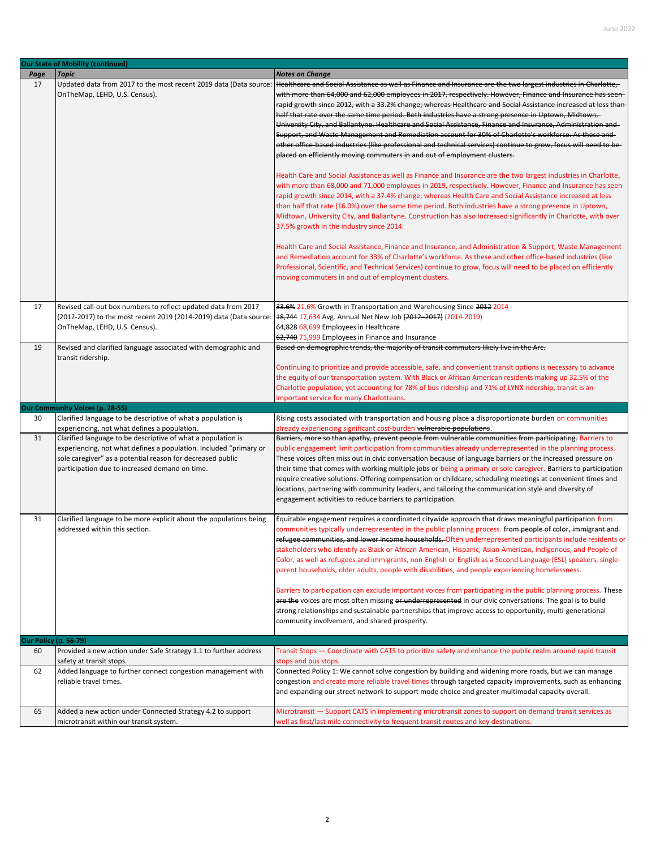|                              | <b>Our State of Mobility (continued)</b>                                                                                                                                                                                                          |                                                                                                                                                                                                                                                                                                                                                                                                                                                                                                                                                                                                                                                                                                                                                                                                                                                                                                                                                                                                                                                                                                                                                                                                                                                                                                                                                                                                                                                                                                                                                                                                                                                                                                                                                                                                                                                                                                              |
|------------------------------|---------------------------------------------------------------------------------------------------------------------------------------------------------------------------------------------------------------------------------------------------|--------------------------------------------------------------------------------------------------------------------------------------------------------------------------------------------------------------------------------------------------------------------------------------------------------------------------------------------------------------------------------------------------------------------------------------------------------------------------------------------------------------------------------------------------------------------------------------------------------------------------------------------------------------------------------------------------------------------------------------------------------------------------------------------------------------------------------------------------------------------------------------------------------------------------------------------------------------------------------------------------------------------------------------------------------------------------------------------------------------------------------------------------------------------------------------------------------------------------------------------------------------------------------------------------------------------------------------------------------------------------------------------------------------------------------------------------------------------------------------------------------------------------------------------------------------------------------------------------------------------------------------------------------------------------------------------------------------------------------------------------------------------------------------------------------------------------------------------------------------------------------------------------------------|
| Page                         | <b>Topic</b>                                                                                                                                                                                                                                      | <b>Notes on Change</b>                                                                                                                                                                                                                                                                                                                                                                                                                                                                                                                                                                                                                                                                                                                                                                                                                                                                                                                                                                                                                                                                                                                                                                                                                                                                                                                                                                                                                                                                                                                                                                                                                                                                                                                                                                                                                                                                                       |
| 17                           | Updated data from 2017 to the most recent 2019 data (Data source:<br>OnTheMap, LEHD, U.S. Census).                                                                                                                                                | Healthcare and Social Assistance as well as Finance and Insurance are the two largest industries in Charlotte,<br>with more than 64,000 and 62,000 employees in 2017, respectively. However, Finance and Insurance has seen-<br>rapid growth since 2012, with a 33.2% change; whereas Healthcare and Social Assistance increased at less than<br>half that rate over the same time period. Both industries have a strong presence in Uptown, Midtown,<br>University City, and Ballantyne. Healthcare and Social Assistance, Finance and Insurance, Administration and-<br>Support, and Waste Management and Remediation account for 30% of Charlotte's workforce. As these and<br>other office-based industries (like professional and technical services) continue to grow, focus will need to be-<br>placed on efficiently moving commuters in and out of employment clusters.<br>Health Care and Social Assistance as well as Finance and Insurance are the two largest industries in Charlotte,<br>with more than 68,000 and 71,000 employees in 2019, respectively. However, Finance and Insurance has seen<br>rapid growth since 2014, with a 37.4% change; whereas Health Care and Social Assistance increased at less<br>than half that rate (16.0%) over the same time period. Both industries have a strong presence in Uptown,<br>Midtown, University City, and Ballantyne. Construction has also increased significantly in Charlotte, with over<br>37.5% growth in the industry since 2014.<br>Health Care and Social Assistance, Finance and Insurance, and Administration & Support, Waste Management<br>and Remediation account for 33% of Charlotte's workforce. As these and other office-based industries (like<br>Professional, Scientific, and Technical Services) continue to grow, focus will need to be placed on efficiently<br>moving commuters in and out of employment clusters. |
|                              |                                                                                                                                                                                                                                                   |                                                                                                                                                                                                                                                                                                                                                                                                                                                                                                                                                                                                                                                                                                                                                                                                                                                                                                                                                                                                                                                                                                                                                                                                                                                                                                                                                                                                                                                                                                                                                                                                                                                                                                                                                                                                                                                                                                              |
| 17                           | Revised call-out box numbers to reflect updated data from 2017<br>(2012-2017) to the most recent 2019 (2014-2019) data (Data source: 18,744 17,634 Avg. Annual Net New Job (2012-2017) (2014-2019)<br>OnTheMap, LEHD, U.S. Census).               | 33.6% 21.6% Growth in Transportation and Warehousing Since 2012 2014<br>64,828 68,699 Employees in Healthcare<br>62,740 71,999 Employees in Finance and Insurance                                                                                                                                                                                                                                                                                                                                                                                                                                                                                                                                                                                                                                                                                                                                                                                                                                                                                                                                                                                                                                                                                                                                                                                                                                                                                                                                                                                                                                                                                                                                                                                                                                                                                                                                            |
| 19                           | Revised and clarified language associated with demographic and<br>transit ridership.                                                                                                                                                              | Based on demographic trends, the majority of transit commuters likely live in the Arc.<br>Continuing to prioritize and provide accessible, safe, and convenient transit options is necessary to advance<br>the equity of our transportation system. With Black or African American residents making up 32.5% of the<br>Charlotte population, yet accounting for 78% of bus ridership and 71% of LYNX ridership, transit is an<br>important service for many Charlotteans.                                                                                                                                                                                                                                                                                                                                                                                                                                                                                                                                                                                                                                                                                                                                                                                                                                                                                                                                                                                                                                                                                                                                                                                                                                                                                                                                                                                                                                    |
|                              | <b>Our Community Voices (p. 28-55)</b>                                                                                                                                                                                                            |                                                                                                                                                                                                                                                                                                                                                                                                                                                                                                                                                                                                                                                                                                                                                                                                                                                                                                                                                                                                                                                                                                                                                                                                                                                                                                                                                                                                                                                                                                                                                                                                                                                                                                                                                                                                                                                                                                              |
| 30                           | Clarified language to be descriptive of what a population is<br>experiencing, not what defines a population.                                                                                                                                      | Rising costs associated with transportation and housing place a disproportionate burden on communities<br>already experiencing significant cost-burden vulnerable populations.                                                                                                                                                                                                                                                                                                                                                                                                                                                                                                                                                                                                                                                                                                                                                                                                                                                                                                                                                                                                                                                                                                                                                                                                                                                                                                                                                                                                                                                                                                                                                                                                                                                                                                                               |
| 31                           | Clarified language to be descriptive of what a population is<br>experiencing, not what defines a population. Included "primary or<br>sole caregiver" as a potential reason for decreased public<br>participation due to increased demand on time. | Barriers, more so than apathy, prevent people from vulnerable communities from participating. Barriers to<br>public engagement limit participation from communities already underrepresented in the planning process.<br>These voices often miss out in civic conversation because of language barriers or the increased pressure on<br>their time that comes with working multiple jobs or being a primary or sole caregiver. Barriers to participation<br>require creative solutions. Offering compensation or childcare, scheduling meetings at convenient times and<br>locations, partnering with community leaders, and tailoring the communication style and diversity of<br>engagement activities to reduce barriers to participation.                                                                                                                                                                                                                                                                                                                                                                                                                                                                                                                                                                                                                                                                                                                                                                                                                                                                                                                                                                                                                                                                                                                                                                |
| 31                           | Clarified language to be more explicit about the populations being<br>addressed within this section.                                                                                                                                              | Equitable engagement requires a coordinated citywide approach that draws meaningful participation from<br>communities typically underrepresented in the public planning process. <del>from people of color, immigrant and</del> -<br>refugee communities, and lower income households. Often underrepresented participants include residents or<br>stakeholders who identify as Black or African American, Hispanic, Asian American, Indigenous, and People of<br>Color, as well as refugees and immigrants, non-English or English as a Second Language (ESL) speakers, single-<br>parent households, older adults, people with disabilities, and people experiencing homelessness.<br>Barriers to participation can exclude important voices from participating in the public planning process. These<br>are the voices are most often missing or underrepresented in our civic conversations. The goal is to build<br>strong relationships and sustainable partnerships that improve access to opportunity, multi-generational<br>community involvement, and shared prosperity.                                                                                                                                                                                                                                                                                                                                                                                                                                                                                                                                                                                                                                                                                                                                                                                                                           |
| <b>Our Policy (p. 56-79)</b> |                                                                                                                                                                                                                                                   |                                                                                                                                                                                                                                                                                                                                                                                                                                                                                                                                                                                                                                                                                                                                                                                                                                                                                                                                                                                                                                                                                                                                                                                                                                                                                                                                                                                                                                                                                                                                                                                                                                                                                                                                                                                                                                                                                                              |
| 60                           | Provided a new action under Safe Strategy 1.1 to further address<br>safety at transit stops.                                                                                                                                                      | Transit Stops – Coordinate with CATS to prioritize safety and enhance the public realm around rapid transit<br>stops and bus stops.                                                                                                                                                                                                                                                                                                                                                                                                                                                                                                                                                                                                                                                                                                                                                                                                                                                                                                                                                                                                                                                                                                                                                                                                                                                                                                                                                                                                                                                                                                                                                                                                                                                                                                                                                                          |
| 62                           | Added language to further connect congestion management with<br>reliable travel times.                                                                                                                                                            | Connected Policy 1: We cannot solve congestion by building and widening more roads, but we can manage<br>congestion and create more reliable travel times through targeted capacity improvements, such as enhancing<br>and expanding our street network to support mode choice and greater multimodal capacity overall.                                                                                                                                                                                                                                                                                                                                                                                                                                                                                                                                                                                                                                                                                                                                                                                                                                                                                                                                                                                                                                                                                                                                                                                                                                                                                                                                                                                                                                                                                                                                                                                      |
| 65                           | Added a new action under Connected Strategy 4.2 to support<br>microtransit within our transit system.                                                                                                                                             | Microtransit - Support CATS in implementing microtransit zones to support on demand transit services as<br>well as first/last mile connectivity to frequent transit routes and key destinations.                                                                                                                                                                                                                                                                                                                                                                                                                                                                                                                                                                                                                                                                                                                                                                                                                                                                                                                                                                                                                                                                                                                                                                                                                                                                                                                                                                                                                                                                                                                                                                                                                                                                                                             |